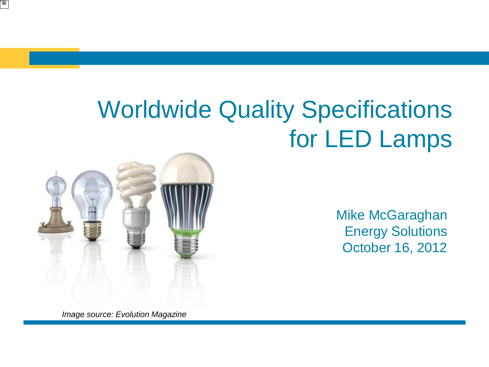# Worldwide Quality Specifications for LED Lamps



i∰

Mike McGaraghan Energy Solutions October 16, 2012

*Image source: Evolution Magazine*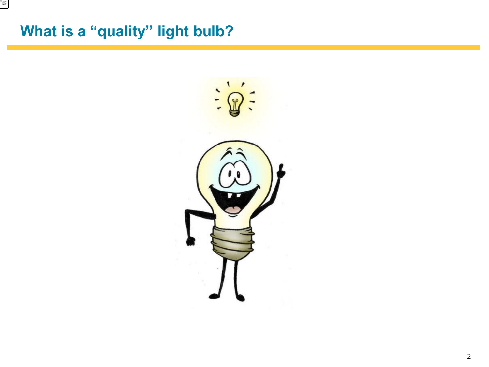## **What is a "quality" light bulb?**

E

 $\overline{\phantom{0}}$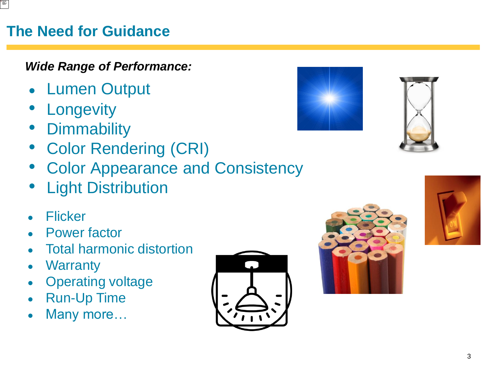### **The Need for Guidance**

### *Wide Range of Performance:*

- Lumen Output
- **Longevity**
- **Dimmability**
- Color Rendering (CRI)
- Color Appearance and Consistency
- **Light Distribution**
- Flicker
- Power factor
- Total harmonic distortion
- Warranty
- Operating voltage
- Run-Up Time
- Many more...









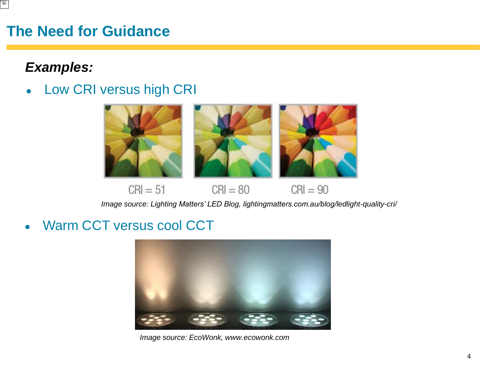### **The Need for Guidance**

### *Examples:*

• Low CRI versus high CRI



*Image source: Lighting Matters' LED Blog, lightingmatters.com.au/blog/ledlight-quality-cri/* 

Warm CCT versus cool CCT



*Image source: EcoWonk, www.ecowonk.com*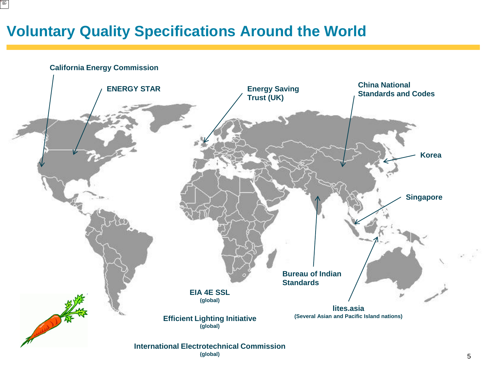### **Voluntary Quality Specifications Around the World**



**(global)**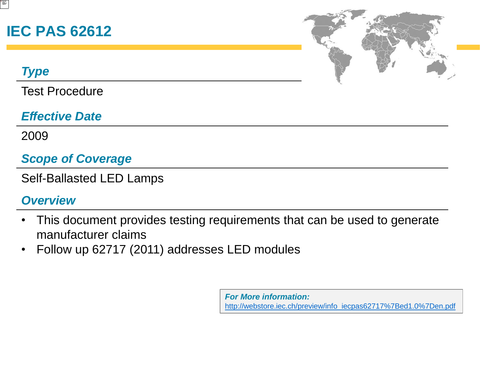### **IEC PAS 62612**

### *Type*

Test Procedure

### *Effective Date*

2009

### *Scope of Coverage*

Self-Ballasted LED Lamps

### *Overview*

- This document provides testing requirements that can be used to generate manufacturer claims
- Follow up 62717 (2011) addresses LED modules

*For More information:* [http://webstore.iec.ch/preview/info\\_iecpas62717%7Bed1.0%7Den.pdf](http://webstore.iec.ch/preview/info_iecpas62717{ed1.0}en.pdf)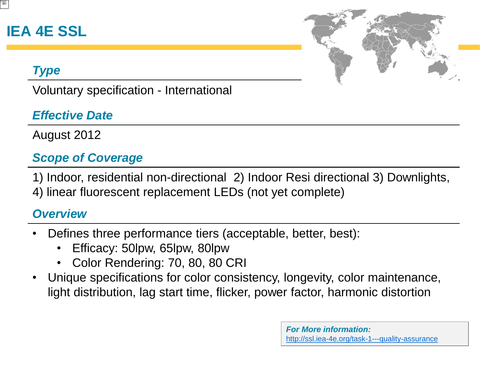### **IEA 4E SSL**



### *Type*

Voluntary specification - International

### *Effective Date*

August 2012

### *Scope of Coverage*

1) Indoor, residential non-directional 2) Indoor Resi directional 3) Downlights, 4) linear fluorescent replacement LEDs (not yet complete)

### *Overview*

- Defines three performance tiers (acceptable, better, best):
	- Efficacy: 50lpw, 65lpw, 80lpw
	- Color Rendering: 70, 80, 80 CRI
- Unique specifications for color consistency, longevity, color maintenance, light distribution, lag start time, flicker, power factor, harmonic distortion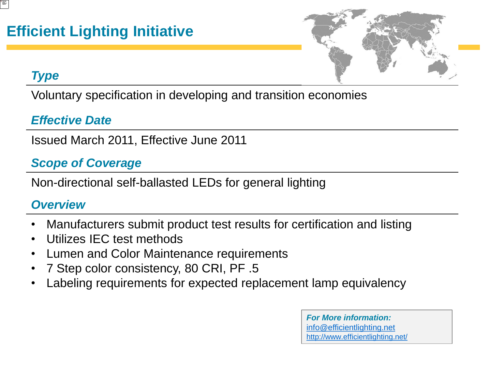

### *Type*

Voluntary specification in developing and transition economies

### *Effective Date*

Issued March 2011, Effective June 2011

### *Scope of Coverage*

Non-directional self-ballasted LEDs for general lighting

### *Overview*

- Manufacturers submit product test results for certification and listing
- Utilizes IEC test methods
- Lumen and Color Maintenance requirements
- 7 Step color consistency, 80 CRI, PF .5
- Labeling requirements for expected replacement lamp equivalency

*For More information:*  [<!-- var prefix = 'ma' + 'il' + 'to'; var path = 'hr' + 'ef' + '='; var addy91976 = 'info' + '@' + 'efficientlighting' + '.' + 'net'; document.write\( '<a ' + path + '/'' + prefix + ':' + addy91976 + '/'>' \); document.write\( addy91976 \); document.write\( '](http://www.efficientlighting.net/JavaScript)'>info@efficientlighting.net <http://www.efficientlighting.net/>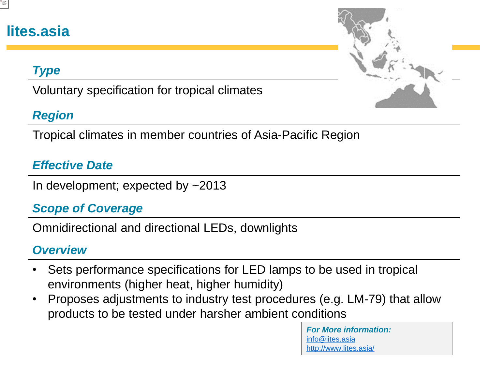### **lites.asia**

### *Type*

Voluntary specification for tropical climates

### *Region*

Tropical climates in member countries of Asia-Pacific Region

### *Effective Date*

In development; expected by ~2013

### *Scope of Coverage*

Omnidirectional and directional LEDs, downlights

### *Overview*

- Sets performance specifications for LED lamps to be used in tropical environments (higher heat, higher humidity)
- Proposes adjustments to industry test procedures (e.g. LM-79) that allow products to be tested under harsher ambient conditions

*For More information:* [info@lites.asia](mailto:info@lites.asia) <http://www.lites.asia/>

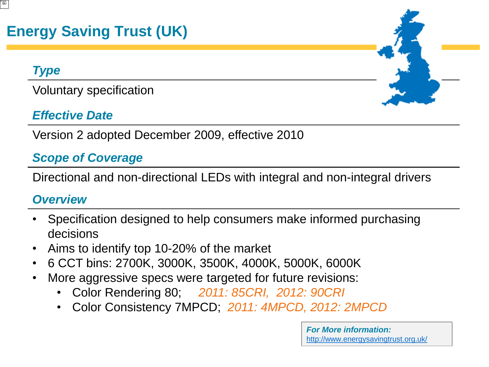## **Energy Saving Trust (UK)**

#### *Type*

Voluntary specification

### *Effective Date*

Version 2 adopted December 2009, effective 2010

### *Scope of Coverage*

Directional and non-directional LEDs with integral and non-integral drivers

### *Overview*

- Specification designed to help consumers make informed purchasing decisions
- Aims to identify top 10-20% of the market
- 6 CCT bins: 2700K, 3000K, 3500K, 4000K, 5000K, 6000K
- More aggressive specs were targeted for future revisions:
	- Color Rendering 80; *2011: 85CRI, 2012: 90CRI*
	- Color Consistency 7MPCD; *2011: 4MPCD, 2012: 2MPCD*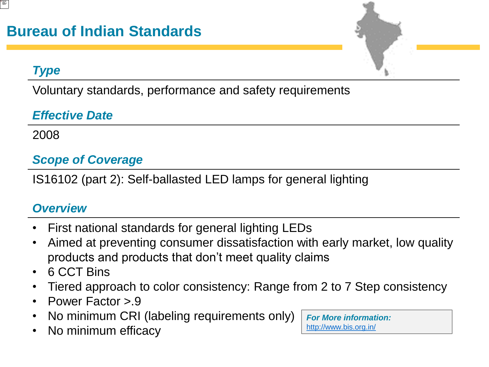### *Type*

Voluntary standards, performance and safety requirements

### *Effective Date*

2008

### *Scope of Coverage*

IS16102 (part 2): Self-ballasted LED lamps for general lighting

### *Overview*

- First national standards for general lighting LEDs
- Aimed at preventing consumer dissatisfaction with early market, low quality products and products that don't meet quality claims
- 6 CCT Bins
- Tiered approach to color consistency: Range from 2 to 7 Step consistency
- Power Factor >.9
- No minimum CRI (labeling requirements only)
- No minimum efficacy

*For More information:* <http://www.bis.org.in/>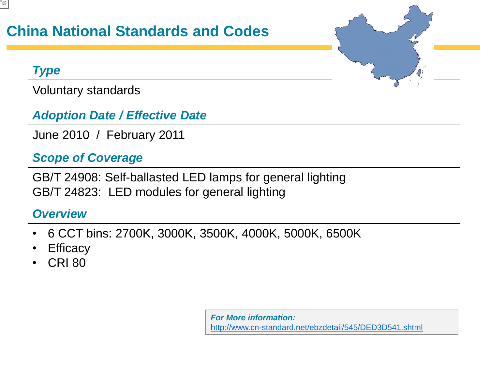### **China National Standards and Codes**

### *Type*

Voluntary standards

### *Adoption Date / Effective Date*

June 2010 / February 2011

### *Scope of Coverage*

GB/T 24908: Self-ballasted LED lamps for general lighting GB/T 24823: LED modules for general lighting

### *Overview*

- 6 CCT bins: 2700K, 3000K, 3500K, 4000K, 5000K, 6500K
- **Efficacy**
- CRI 80

*For More information:* <http://www.cn-standard.net/ebzdetail/545/DED3D541.shtml>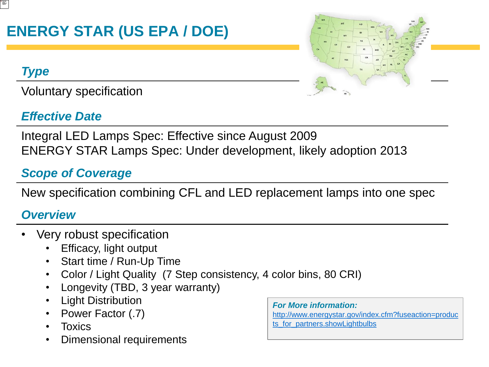## **ENERGY STAR (US EPA / DOE)**

### *Type*

Voluntary specification

### *Effective Date*



Integral LED Lamps Spec: Effective since August 2009 ENERGY STAR Lamps Spec: Under development, likely adoption 2013

### *Scope of Coverage*

New specification combining CFL and LED replacement lamps into one spec

### *Overview*

- Very robust specification
	- Efficacy, light output
	- Start time / Run-Up Time
	- Color / Light Quality (7 Step consistency, 4 color bins, 80 CRI)
	- Longevity (TBD, 3 year warranty)
	- Light Distribution
	- Power Factor (.7)
	- **Toxics**
	- Dimensional requirements

*For More information:* [http://www.energystar.gov/index.cfm?fuseaction=produc](http://www.energystar.gov/index.cfm?fuseaction=products_for_partners.showLightbulbs) ts for partners.showLightbulbs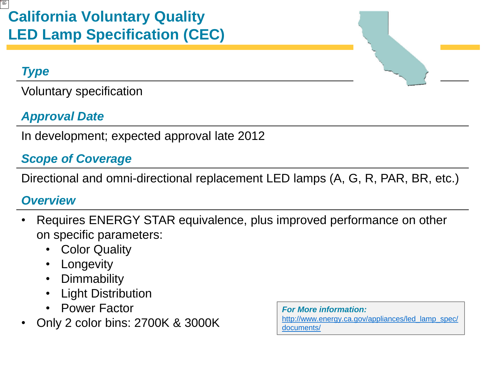### *Type*

Voluntary specification

### *Approval Date*

In development; expected approval late 2012

### *Scope of Coverage*

Directional and omni-directional replacement LED lamps (A, G, R, PAR, BR, etc.)

### *Overview*

- Requires ENERGY STAR equivalence, plus improved performance on other on specific parameters:
	- Color Quality
	- **Longevity**
	- Dimmability
	- **Light Distribution**
	- Power Factor
- Only 2 color bins: 2700K & 3000K

*For More information:* [http://www.energy.ca.gov/appliances/led\\_lamp\\_spec/](http://www.energy.ca.gov/appliances/led_lamp_spec/documents/) [documents/](http://www.energy.ca.gov/appliances/led_lamp_spec/documents/)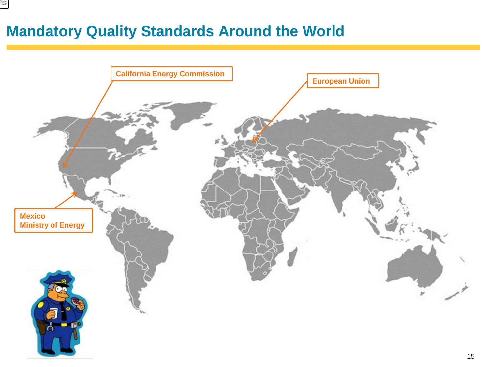### **Mandatory Quality Standards Around the World**

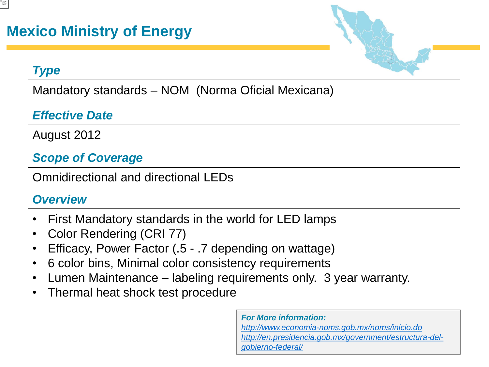### *Type*

Mandatory standards – NOM (Norma Oficial Mexicana)

### *Effective Date*

August 2012

### *Scope of Coverage*

Omnidirectional and directional LEDs

### *Overview*

- First Mandatory standards in the world for LED lamps
- Color Rendering (CRI 77)
- Efficacy, Power Factor (.5 .7 depending on wattage)
- 6 color bins, Minimal color consistency requirements
- Lumen Maintenance labeling requirements only. 3 year warranty.
- Thermal heat shock test procedure

*For More information: <http://www.economia-noms.gob.mx/noms/inicio.do> [http://en.presidencia.gob.mx/government/estructura-del](http://en.presidencia.gob.mx/government/estructura-del-gobierno-federal/)[gobierno-federal/](http://en.presidencia.gob.mx/government/estructura-del-gobierno-federal/)*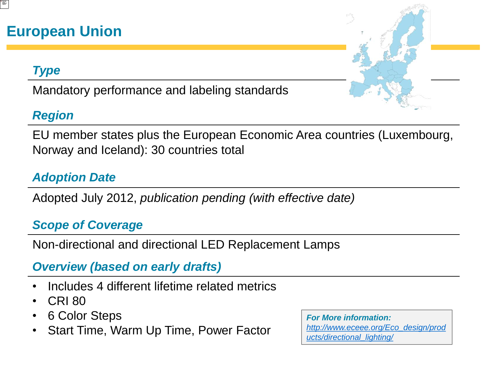### **European Union**

### *Type*

Mandatory performance and labeling standards

### *Region*

EU member states plus the European Economic Area countries (Luxembourg, Norway and Iceland): 30 countries total

### *Adoption Date*

Adopted July 2012, *publication pending (with effective date)*

### *Scope of Coverage*

Non-directional and directional LED Replacement Lamps

### *Overview (based on early drafts)*

- Includes 4 different lifetime related metrics
- CRI 80
- 6 Color Steps
- Start Time, Warm Up Time, Power Factor

*For More information: [http://www.eceee.org/Eco\\_design/prod](http://www.eceee.org/Eco_design/products/directional_lighting/) [ucts/directional\\_lighting/](http://www.eceee.org/Eco_design/products/directional_lighting/)*

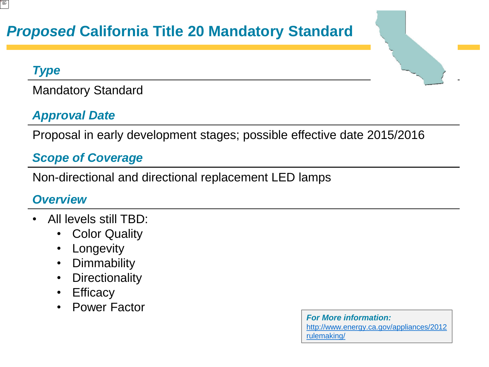### *Proposed* **California Title 20 Mandatory Standard**

#### *Type*

Mandatory Standard

### *Approval Date*

Proposal in early development stages; possible effective date 2015/2016

### *Scope of Coverage*

Non-directional and directional replacement LED lamps

### *Overview*

- All levels still TBD:
	- Color Quality
	- Longevity
	- Dimmability
	- Directionality
	- Efficacy
	- Power Factor

*For More information:* [http://www.energy.ca.gov/appliances/2012](http://www.energy.ca.gov/appliances/2012rulemaking/) [rulemaking/](http://www.energy.ca.gov/appliances/2012rulemaking/)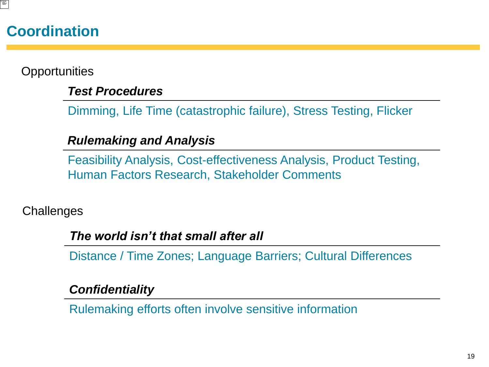### **Coordination**

**Opportunities** 

#### *Test Procedures*

Dimming, Life Time (catastrophic failure), Stress Testing, Flicker

### *Rulemaking and Analysis*

Feasibility Analysis, Cost-effectiveness Analysis, Product Testing, Human Factors Research, Stakeholder Comments

**Challenges** 

#### *The world isn't that small after all*

Distance / Time Zones; Language Barriers; Cultural Differences

### *Confidentiality*

Rulemaking efforts often involve sensitive information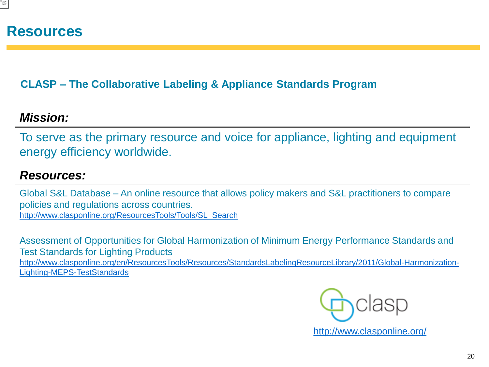#### **CLASP – The Collaborative Labeling & Appliance Standards Program**

### *Mission:*

To serve as the primary resource and voice for appliance, lighting and equipment energy efficiency worldwide.

### *Resources:*

Global S&L Database – An online resource that allows policy makers and S&L practitioners to compare policies and regulations across countries. [http://www.clasponline.org/ResourcesTools/Tools/SL\\_Search](http://www.clasponline.org/ResourcesTools/Tools/SL_Search)

Assessment of Opportunities for Global Harmonization of Minimum Energy Performance Standards and Test Standards for Lighting Products [http://www.clasponline.org/en/ResourcesTools/Resources/StandardsLabelingResourceLibrary/2011/Global-Harmonization-](http://www.clasponline.org/en/ResourcesTools/Resources/StandardsLabelingResourceLibrary/2011/Global-Harmonization-Lighting-MEPS-TestStandards)[Lighting-MEPS-TestStandards](http://www.clasponline.org/en/ResourcesTools/Resources/StandardsLabelingResourceLibrary/2011/Global-Harmonization-Lighting-MEPS-TestStandards)

<http://www.clasponline.org/>